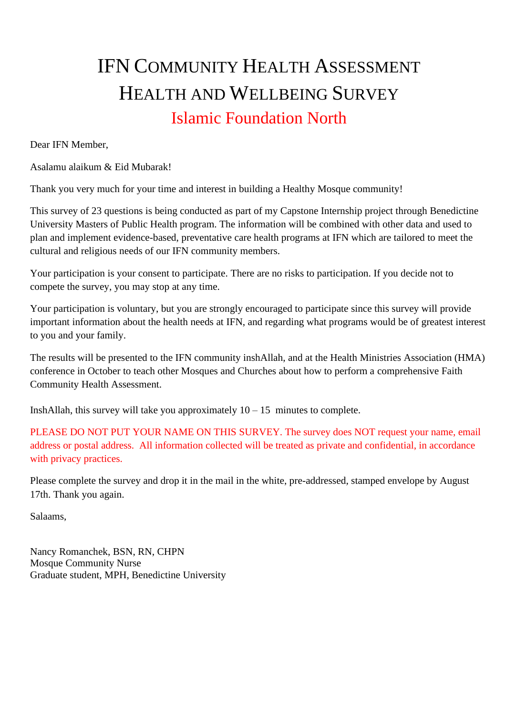# IFN COMMUNITY HEALTH ASSESSMENT HEALTH AND WELLBEING SURVEY Islamic Foundation North

Dear IFN Member,

Asalamu alaikum & Eid Mubarak!

Thank you very much for your time and interest in building a Healthy Mosque community!

This survey of 23 questions is being conducted as part of my Capstone Internship project through Benedictine University Masters of Public Health program. The information will be combined with other data and used to plan and implement evidence-based, preventative care health programs at IFN which are tailored to meet the cultural and religious needs of our IFN community members.

Your participation is your consent to participate. There are no risks to participation. If you decide not to compete the survey, you may stop at any time.

Your participation is voluntary, but you are strongly encouraged to participate since this survey will provide important information about the health needs at IFN, and regarding what programs would be of greatest interest to you and your family.

The results will be presented to the IFN community inshAllah, and at the Health Ministries Association (HMA) conference in October to teach other Mosques and Churches about how to perform a comprehensive Faith Community Health Assessment.

InshAllah, this survey will take you approximately  $10 - 15$  minutes to complete.

PLEASE DO NOT PUT YOUR NAME ON THIS SURVEY. The survey does NOT request your name, email address or postal address. All information collected will be treated as private and confidential, in accordance with privacy practices.

Please complete the survey and drop it in the mail in the white, pre-addressed, stamped envelope by August 17th. Thank you again.

Salaams,

Nancy Romanchek, BSN, RN, CHPN Mosque Community Nurse Graduate student, MPH, Benedictine University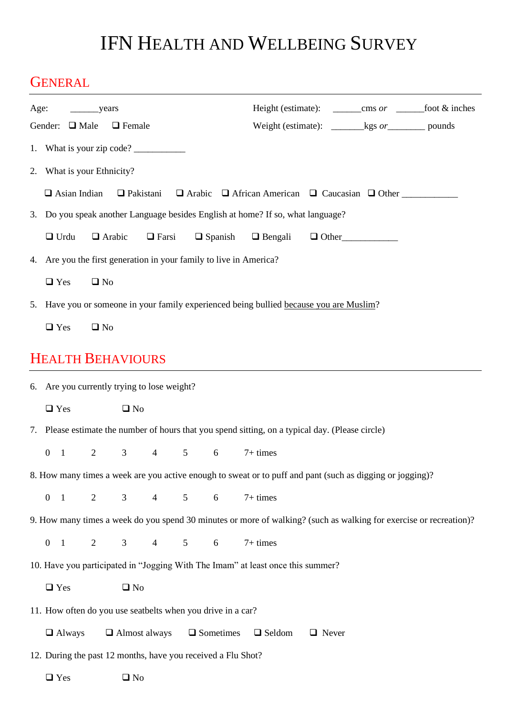# IFN HEALTH AND WELLBEING SURVEY

## **GENERAL**

| Age:<br>years                                                                                             |                                                                                                                |                                                                                            |                |                |                 |                 |                | Height (estimate): ________cms or ________foot & inches                                                            |              |  |  |  |
|-----------------------------------------------------------------------------------------------------------|----------------------------------------------------------------------------------------------------------------|--------------------------------------------------------------------------------------------|----------------|----------------|-----------------|-----------------|----------------|--------------------------------------------------------------------------------------------------------------------|--------------|--|--|--|
| Gender: $\Box$ Male<br>$\Box$ Female                                                                      |                                                                                                                |                                                                                            |                |                |                 |                 |                | Weight (estimate): $\_\_\_\_\$ kgs <i>or</i> __________ pounds                                                     |              |  |  |  |
|                                                                                                           | 1. What is your zip code?                                                                                      |                                                                                            |                |                |                 |                 |                |                                                                                                                    |              |  |  |  |
|                                                                                                           | 2. What is your Ethnicity?                                                                                     |                                                                                            |                |                |                 |                 |                |                                                                                                                    |              |  |  |  |
|                                                                                                           | $\Box$ Asian Indian<br>$\Box$ Pakistani<br>$\Box$ Arabic $\Box$ African American $\Box$ Caucasian $\Box$ Other |                                                                                            |                |                |                 |                 |                |                                                                                                                    |              |  |  |  |
| 3. Do you speak another Language besides English at home? If so, what language?                           |                                                                                                                |                                                                                            |                |                |                 |                 |                |                                                                                                                    |              |  |  |  |
|                                                                                                           |                                                                                                                | $\Box$ Urdu                                                                                |                | $\Box$ Arabic  | $\Box$ Farsi    |                 | $\Box$ Spanish | $\Box$ Bengali                                                                                                     | $\Box$ Other |  |  |  |
| 4. Are you the first generation in your family to live in America?                                        |                                                                                                                |                                                                                            |                |                |                 |                 |                |                                                                                                                    |              |  |  |  |
|                                                                                                           | $\Box$ Yes<br>$\square$ No                                                                                     |                                                                                            |                |                |                 |                 |                |                                                                                                                    |              |  |  |  |
|                                                                                                           | 5. Have you or someone in your family experienced being bullied because you are Muslim?                        |                                                                                            |                |                |                 |                 |                |                                                                                                                    |              |  |  |  |
|                                                                                                           | $\Box$ Yes                                                                                                     |                                                                                            | $\square$ No   |                |                 |                 |                |                                                                                                                    |              |  |  |  |
|                                                                                                           | <b>HEALTH BEHAVIOURS</b>                                                                                       |                                                                                            |                |                |                 |                 |                |                                                                                                                    |              |  |  |  |
|                                                                                                           |                                                                                                                |                                                                                            |                |                |                 |                 |                |                                                                                                                    |              |  |  |  |
|                                                                                                           |                                                                                                                | 6. Are you currently trying to lose weight?                                                |                |                |                 |                 |                |                                                                                                                    |              |  |  |  |
|                                                                                                           | $\Box$ Yes                                                                                                     |                                                                                            |                | $\square$ No   |                 |                 |                |                                                                                                                    |              |  |  |  |
|                                                                                                           |                                                                                                                |                                                                                            |                |                |                 |                 |                | 7. Please estimate the number of hours that you spend sitting, on a typical day. (Please circle)                   |              |  |  |  |
|                                                                                                           | $\overline{0}$                                                                                                 | $\mathbf{1}$                                                                               | $\overline{2}$ | $3^{\circ}$    | $4\overline{ }$ | $5\qquad 6$     |                | $7+ times$                                                                                                         |              |  |  |  |
| 8. How many times a week are you active enough to sweat or to puff and pant (such as digging or jogging)? |                                                                                                                |                                                                                            |                |                |                 |                 |                |                                                                                                                    |              |  |  |  |
|                                                                                                           | $\overline{0}$                                                                                                 | $\overline{1}$                                                                             | $\overline{2}$ | $\mathfrak{Z}$ | $\overline{4}$  | $5\overline{)}$ | $6\,$          | $7+ times$                                                                                                         |              |  |  |  |
|                                                                                                           |                                                                                                                |                                                                                            |                |                |                 |                 |                | 9. How many times a week do you spend 30 minutes or more of walking? (such as walking for exercise or recreation)? |              |  |  |  |
|                                                                                                           | $0 \quad 1$                                                                                                    |                                                                                            | 2              | $\mathfrak{Z}$ | $\overline{4}$  | 5               | 6              | $7+ times$                                                                                                         |              |  |  |  |
| 10. Have you participated in "Jogging With The Imam" at least once this summer?                           |                                                                                                                |                                                                                            |                |                |                 |                 |                |                                                                                                                    |              |  |  |  |
|                                                                                                           | $\Box$ Yes<br>$\square$ No                                                                                     |                                                                                            |                |                |                 |                 |                |                                                                                                                    |              |  |  |  |
| 11. How often do you use seatbelts when you drive in a car?                                               |                                                                                                                |                                                                                            |                |                |                 |                 |                |                                                                                                                    |              |  |  |  |
|                                                                                                           |                                                                                                                | $\Box$ Almost always<br>$\Box$ Sometimes<br>$\Box$ Seldom<br>$\Box$ Never<br>$\Box$ Always |                |                |                 |                 |                |                                                                                                                    |              |  |  |  |
| 12. During the past 12 months, have you received a Flu Shot?                                              |                                                                                                                |                                                                                            |                |                |                 |                 |                |                                                                                                                    |              |  |  |  |
|                                                                                                           | $\Box$ Yes                                                                                                     |                                                                                            |                | $\square$ No   |                 |                 |                |                                                                                                                    |              |  |  |  |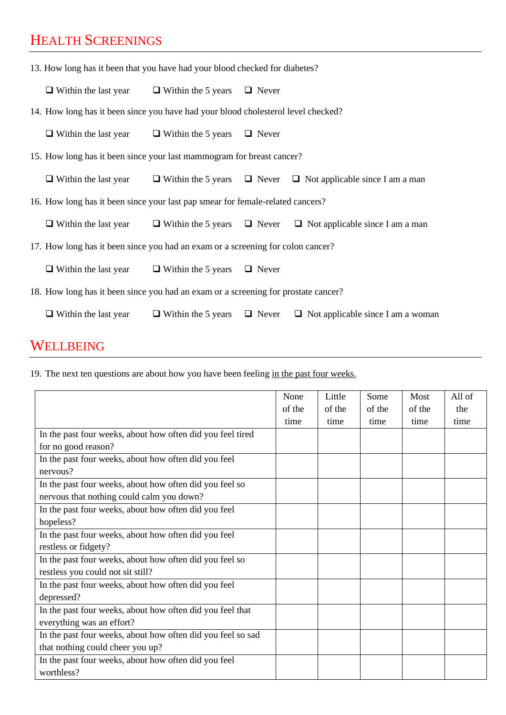# HEALTH SCREENINGS

| 13. How long has it been that you have had your blood checked for diabetes? |                                                                                    |                                                                                   |              |                                                                               |  |  |  |  |  |
|-----------------------------------------------------------------------------|------------------------------------------------------------------------------------|-----------------------------------------------------------------------------------|--------------|-------------------------------------------------------------------------------|--|--|--|--|--|
|                                                                             | $\Box$ Within the last year                                                        | $\Box$ Within the 5 years $\Box$ Never                                            |              |                                                                               |  |  |  |  |  |
|                                                                             |                                                                                    | 14. How long has it been since you have had your blood cholesterol level checked? |              |                                                                               |  |  |  |  |  |
|                                                                             | $\Box$ Within the last year                                                        | $\Box$ Within the 5 years $\Box$ Never                                            |              |                                                                               |  |  |  |  |  |
|                                                                             | 15. How long has it been since your last mammogram for breast cancer?              |                                                                                   |              |                                                                               |  |  |  |  |  |
|                                                                             | $\Box$ Within the last year                                                        |                                                                                   |              | $\Box$ Within the 5 years $\Box$ Never $\Box$ Not applicable since I am a man |  |  |  |  |  |
|                                                                             | 16. How long has it been since your last pap smear for female-related cancers?     |                                                                                   |              |                                                                               |  |  |  |  |  |
|                                                                             | $\Box$ Within the last year                                                        |                                                                                   |              | $\Box$ Within the 5 years $\Box$ Never $\Box$ Not applicable since I am a man |  |  |  |  |  |
|                                                                             | 17. How long has it been since you had an exam or a screening for colon cancer?    |                                                                                   |              |                                                                               |  |  |  |  |  |
|                                                                             | $\Box$ Within the last year                                                        | $\Box$ Within the 5 years                                                         | $\Box$ Never |                                                                               |  |  |  |  |  |
|                                                                             | 18. How long has it been since you had an exam or a screening for prostate cancer? |                                                                                   |              |                                                                               |  |  |  |  |  |
|                                                                             | $\Box$ Within the last year                                                        | $\Box$ Within the 5 years                                                         | $\Box$ Never | $\Box$ Not applicable since I am a woman                                      |  |  |  |  |  |

## WELLBEING

19. The next ten questions are about how you have been feeling in the past four weeks.

|                                                             | None   | Little | Some   | Most   | All of |
|-------------------------------------------------------------|--------|--------|--------|--------|--------|
|                                                             | of the | of the | of the | of the | the    |
|                                                             | time   | time   | time   | time   | time   |
| In the past four weeks, about how often did you feel tired  |        |        |        |        |        |
| for no good reason?                                         |        |        |        |        |        |
| In the past four weeks, about how often did you feel        |        |        |        |        |        |
| nervous?                                                    |        |        |        |        |        |
| In the past four weeks, about how often did you feel so     |        |        |        |        |        |
| nervous that nothing could calm you down?                   |        |        |        |        |        |
| In the past four weeks, about how often did you feel        |        |        |        |        |        |
| hopeless?                                                   |        |        |        |        |        |
| In the past four weeks, about how often did you feel        |        |        |        |        |        |
| restless or fidgety?                                        |        |        |        |        |        |
| In the past four weeks, about how often did you feel so     |        |        |        |        |        |
| restless you could not sit still?                           |        |        |        |        |        |
| In the past four weeks, about how often did you feel        |        |        |        |        |        |
| depressed?                                                  |        |        |        |        |        |
| In the past four weeks, about how often did you feel that   |        |        |        |        |        |
| everything was an effort?                                   |        |        |        |        |        |
| In the past four weeks, about how often did you feel so sad |        |        |        |        |        |
| that nothing could cheer you up?                            |        |        |        |        |        |
| In the past four weeks, about how often did you feel        |        |        |        |        |        |
| worthless?                                                  |        |        |        |        |        |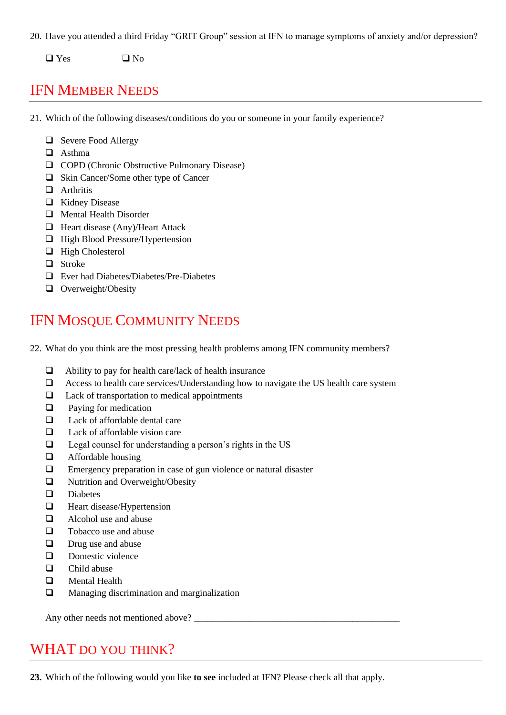20. Have you attended a third Friday "GRIT Group" session at IFN to manage symptoms of anxiety and/or depression?

❑ Yes ❑ No

#### IFN MEMBER NEEDS

21. Which of the following diseases/conditions do you or someone in your family experience?

- ❑ Severe Food Allergy
- ❑ Asthma
- ❑ COPD (Chronic Obstructive Pulmonary Disease)
- ❑ Skin Cancer/Some other type of Cancer
- ❑ Arthritis
- ❑ Kidney Disease
- ❑ Mental Health Disorder
- ❑ Heart disease (Any)/Heart Attack
- ❑ High Blood Pressure/Hypertension
- ❑ High Cholesterol
- ❑ Stroke
- ❑ Ever had Diabetes/Diabetes/Pre-Diabetes
- ❑ Overweight/Obesity

### IFN MOSQUE COMMUNITY NEEDS

22. What do you think are the most pressing health problems among IFN community members?

- ❑ Ability to pay for health care/lack of health insurance
- ❑ Access to health care services/Understanding how to navigate the US health care system
- ❑ Lack of transportation to medical appointments
- ❑ Paying for medication
- ❑ Lack of affordable dental care
- ❑ Lack of affordable vision care
- ❑ Legal counsel for understanding a person's rights in the US
- ❑ Affordable housing
- ❑ Emergency preparation in case of gun violence or natural disaster
- ❑ Nutrition and Overweight/Obesity
- ❑ Diabetes
- ❑ Heart disease/Hypertension
- ❑ Alcohol use and abuse
- ❑ Tobacco use and abuse
- ❑ Drug use and abuse
- ❑ Domestic violence
- ❑ Child abuse
- ❑ Mental Health
- ❑ Managing discrimination and marginalization

Any other needs not mentioned above?

#### WHAT DO YOU THINK?

**23.** Which of the following would you like **to see** included at IFN? Please check all that apply.